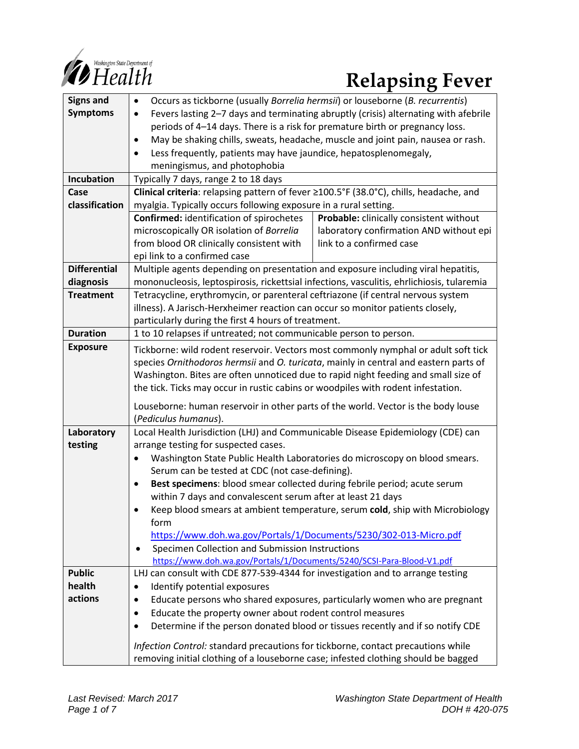

# *Constitue Department of*<br> *Relapsing Fever*

| <b>Signs and</b>    | Occurs as tickborne (usually Borrelia hermsii) or louseborne (B. recurrentis)<br>$\bullet$                                                           |                                         |
|---------------------|------------------------------------------------------------------------------------------------------------------------------------------------------|-----------------------------------------|
| <b>Symptoms</b>     | Fevers lasting 2-7 days and terminating abruptly (crisis) alternating with afebrile<br>$\bullet$                                                     |                                         |
|                     | periods of 4-14 days. There is a risk for premature birth or pregnancy loss.                                                                         |                                         |
|                     | May be shaking chills, sweats, headache, muscle and joint pain, nausea or rash.<br>$\bullet$                                                         |                                         |
|                     | Less frequently, patients may have jaundice, hepatosplenomegaly,                                                                                     |                                         |
|                     | meningismus, and photophobia                                                                                                                         |                                         |
| Incubation          | Typically 7 days, range 2 to 18 days                                                                                                                 |                                         |
| Case                | Clinical criteria: relapsing pattern of fever ≥100.5°F (38.0°C), chills, headache, and                                                               |                                         |
| classification      | myalgia. Typically occurs following exposure in a rural setting.                                                                                     |                                         |
|                     | <b>Confirmed:</b> identification of spirochetes<br>Probable: clinically consistent without                                                           |                                         |
|                     | microscopically OR isolation of Borrelia                                                                                                             | laboratory confirmation AND without epi |
|                     | from blood OR clinically consistent with                                                                                                             | link to a confirmed case                |
|                     | epi link to a confirmed case                                                                                                                         |                                         |
| <b>Differential</b> | Multiple agents depending on presentation and exposure including viral hepatitis,                                                                    |                                         |
| diagnosis           | mononucleosis, leptospirosis, rickettsial infections, vasculitis, ehrlichiosis, tularemia                                                            |                                         |
| <b>Treatment</b>    | Tetracycline, erythromycin, or parenteral ceftriazone (if central nervous system                                                                     |                                         |
|                     | illness). A Jarisch-Herxheimer reaction can occur so monitor patients closely,                                                                       |                                         |
|                     | particularly during the first 4 hours of treatment.                                                                                                  |                                         |
| <b>Duration</b>     | 1 to 10 relapses if untreated; not communicable person to person.                                                                                    |                                         |
| <b>Exposure</b>     | Tickborne: wild rodent reservoir. Vectors most commonly nymphal or adult soft tick                                                                   |                                         |
|                     | species Ornithodoros hermsii and O. turicata, mainly in central and eastern parts of                                                                 |                                         |
|                     | Washington. Bites are often unnoticed due to rapid night feeding and small size of                                                                   |                                         |
|                     | the tick. Ticks may occur in rustic cabins or woodpiles with rodent infestation.                                                                     |                                         |
|                     |                                                                                                                                                      |                                         |
|                     | Louseborne: human reservoir in other parts of the world. Vector is the body louse                                                                    |                                         |
|                     | (Pediculus humanus).                                                                                                                                 |                                         |
| Laboratory          | Local Health Jurisdiction (LHJ) and Communicable Disease Epidemiology (CDE) can                                                                      |                                         |
| testing             | arrange testing for suspected cases.                                                                                                                 |                                         |
|                     | Washington State Public Health Laboratories do microscopy on blood smears.<br>$\bullet$                                                              |                                         |
|                     | Serum can be tested at CDC (not case-defining).                                                                                                      |                                         |
|                     | Best specimens: blood smear collected during febrile period; acute serum<br>$\bullet$<br>within 7 days and convalescent serum after at least 21 days |                                         |
|                     | Keep blood smears at ambient temperature, serum cold, ship with Microbiology                                                                         |                                         |
|                     | form                                                                                                                                                 |                                         |
|                     | https://www.doh.wa.gov/Portals/1/Documents/5230/302-013-Micro.pdf                                                                                    |                                         |
|                     | Specimen Collection and Submission Instructions                                                                                                      |                                         |
|                     | https://www.doh.wa.gov/Portals/1/Documents/5240/SCSI-Para-Blood-V1.pdf                                                                               |                                         |
| <b>Public</b>       | LHJ can consult with CDE 877-539-4344 for investigation and to arrange testing                                                                       |                                         |
| health              | Identify potential exposures<br>$\bullet$                                                                                                            |                                         |
| actions             | Educate persons who shared exposures, particularly women who are pregnant<br>$\bullet$                                                               |                                         |
|                     | Educate the property owner about rodent control measures<br>٠                                                                                        |                                         |
|                     | Determine if the person donated blood or tissues recently and if so notify CDE                                                                       |                                         |
|                     |                                                                                                                                                      |                                         |
|                     | Infection Control: standard precautions for tickborne, contact precautions while                                                                     |                                         |
|                     | removing initial clothing of a louseborne case; infested clothing should be bagged                                                                   |                                         |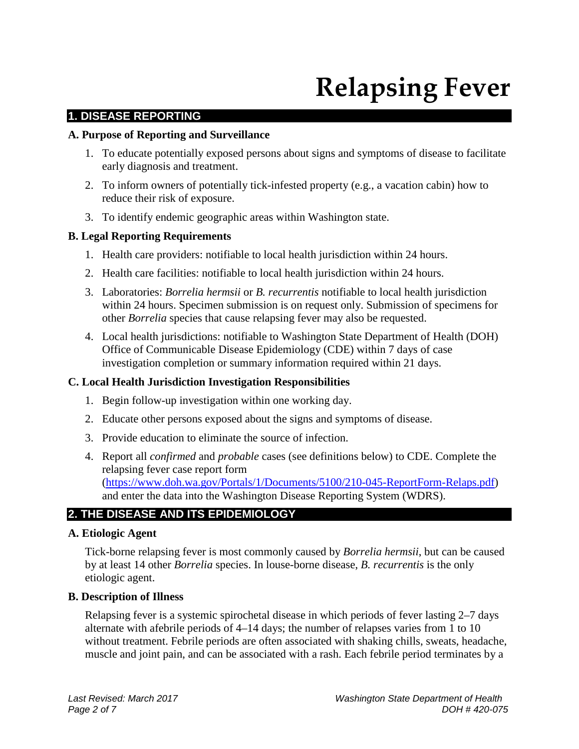# **Relapsing Fever**

# **1. DISEASE REPORTING**

#### **A. Purpose of Reporting and Surveillance**

- 1. To educate potentially exposed persons about signs and symptoms of disease to facilitate early diagnosis and treatment.
- 2. To inform owners of potentially tick-infested property (e.g., a vacation cabin) how to reduce their risk of exposure.
- 3. To identify endemic geographic areas within Washington state.

#### **B. Legal Reporting Requirements**

- 1. Health care providers: notifiable to local health jurisdiction within 24 hours.
- 2. Health care facilities: notifiable to local health jurisdiction within 24 hours.
- 3. Laboratories: *Borrelia hermsii* or *B. recurrentis* notifiable to local health jurisdiction within 24 hours. Specimen submission is on request only. Submission of specimens for other *Borrelia* species that cause relapsing fever may also be requested.
- 4. Local health jurisdictions: notifiable to Washington State Department of Health (DOH) Office of Communicable Disease Epidemiology (CDE) within 7 days of case investigation completion or summary information required within 21 days.

#### **C. Local Health Jurisdiction Investigation Responsibilities**

- 1. Begin follow-up investigation within one working day.
- 2. Educate other persons exposed about the signs and symptoms of disease.
- 3. Provide education to eliminate the source of infection.
- 4. Report all *confirmed* and *probable* cases (see definitions below) to CDE. Complete the relapsing fever case report form [\(https://www.doh.wa.gov/Portals/1/Documents/5100/210-045-ReportForm-Relaps.pdf\)](https://www.doh.wa.gov/Portals/1/Documents/5100/210-045-ReportForm-Relaps.pdf) and enter the data into the Washington Disease Reporting System (WDRS).

# **2. THE DISEASE AND ITS EPIDEMIOLOGY**

#### **A. Etiologic Agent**

Tick-borne relapsing fever is most commonly caused by *Borrelia hermsii*, but can be caused by at least 14 other *Borrelia* species. In louse-borne disease, *B. recurrentis* is the only etiologic agent.

#### **B. Description of Illness**

Relapsing fever is a systemic spirochetal disease in which periods of fever lasting 2–7 days alternate with afebrile periods of 4–14 days; the number of relapses varies from 1 to 10 without treatment. Febrile periods are often associated with shaking chills, sweats, headache, muscle and joint pain, and can be associated with a rash. Each febrile period terminates by a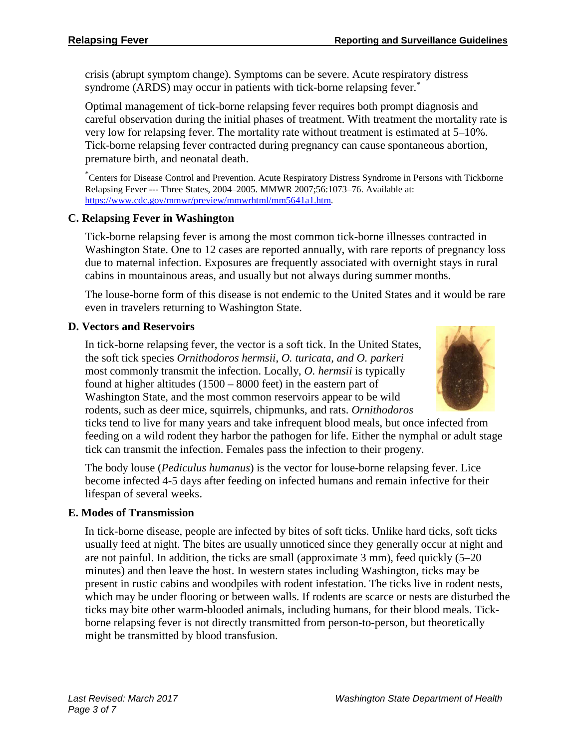crisis (abrupt symptom change). Symptoms can be severe. Acute respiratory distress syndrome (ARDS) may occur in patients with tick-borne relapsing fever.<sup>\*</sup>

Optimal management of tick-borne relapsing fever requires both prompt diagnosis and careful observation during the initial phases of treatment. With treatment the mortality rate is very low for relapsing fever. The mortality rate without treatment is estimated at 5–10%. Tick-borne relapsing fever contracted during pregnancy can cause spontaneous abortion, premature birth, and neonatal death.

\* Centers for Disease Control and Prevention. Acute Respiratory Distress Syndrome in Persons with Tickborne Relapsing Fever --- Three States, 2004–2005. MMWR 2007;56:1073–76. Available at: [https://www.cdc.gov/mmwr/preview/mmwrhtml/mm5641a1.htm.](https://www.cdc.gov/mmwr/preview/mmwrhtml/mm5641a1.htm)

# **C. Relapsing Fever in Washington**

Tick-borne relapsing fever is among the most common tick-borne illnesses contracted in Washington State. One to 12 cases are reported annually, with rare reports of pregnancy loss due to maternal infection. Exposures are frequently associated with overnight stays in rural cabins in mountainous areas, and usually but not always during summer months.

The louse-borne form of this disease is not endemic to the United States and it would be rare even in travelers returning to Washington State.

#### **D. Vectors and Reservoirs**

In tick-borne relapsing fever, the vector is a soft tick. In the United States, the soft tick species *Ornithodoros hermsii*, *O. turicata, and O. parkeri* most commonly transmit the infection. Locally, *O. hermsii* is typically found at higher altitudes (1500 – 8000 feet) in the eastern part of Washington State, and the most common reservoirs appear to be wild rodents, such as deer mice, squirrels, chipmunks, and rats. *Ornithodoros*



ticks tend to live for many years and take infrequent blood meals, but once infected from feeding on a wild rodent they harbor the pathogen for life. Either the nymphal or adult stage tick can transmit the infection. Females pass the infection to their progeny.

The body louse (*Pediculus humanus*) is the vector for louse-borne relapsing fever. Lice become infected 4-5 days after feeding on infected humans and remain infective for their lifespan of several weeks.

#### **E. Modes of Transmission**

In tick-borne disease, people are infected by bites of soft ticks. Unlike hard ticks, soft ticks usually feed at night. The bites are usually unnoticed since they generally occur at night and are not painful. In addition, the ticks are small (approximate 3 mm), feed quickly (5–20 minutes) and then leave the host. In western states including Washington, ticks may be present in rustic cabins and woodpiles with rodent infestation. The ticks live in rodent nests, which may be under flooring or between walls. If rodents are scarce or nests are disturbed the ticks may bite other warm-blooded animals, including humans, for their blood meals. Tickborne relapsing fever is not directly transmitted from person-to-person, but theoretically might be transmitted by blood transfusion.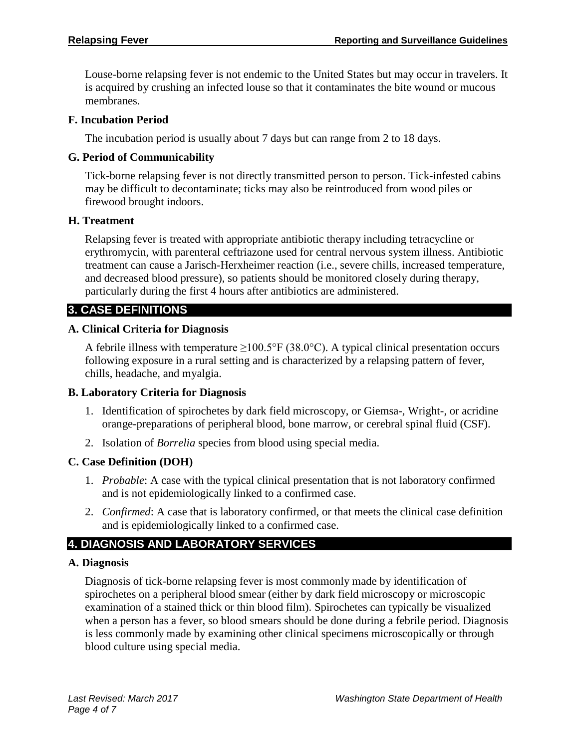Louse-borne relapsing fever is not endemic to the United States but may occur in travelers. It is acquired by crushing an infected louse so that it contaminates the bite wound or mucous membranes.

#### **F. Incubation Period**

The incubation period is usually about 7 days but can range from 2 to 18 days.

#### **G. Period of Communicability**

Tick-borne relapsing fever is not directly transmitted person to person. Tick-infested cabins may be difficult to decontaminate; ticks may also be reintroduced from wood piles or firewood brought indoors.

#### **H. Treatment**

Relapsing fever is treated with appropriate antibiotic therapy including tetracycline or erythromycin, with parenteral ceftriazone used for central nervous system illness. Antibiotic treatment can cause a Jarisch-Herxheimer reaction (i.e., severe chills, increased temperature, and decreased blood pressure), so patients should be monitored closely during therapy, particularly during the first 4 hours after antibiotics are administered.

# **3. CASE DEFINITIONS**

#### **A. Clinical Criteria for Diagnosis**

A febrile illness with temperature  $\geq 100.5^{\circ}$  F (38.0°C). A typical clinical presentation occurs following exposure in a rural setting and is characterized by a relapsing pattern of fever, chills, headache, and myalgia.

# **B. Laboratory Criteria for Diagnosis**

- 1. Identification of spirochetes by dark field microscopy, or Giemsa-, Wright-, or acridine orange-preparations of peripheral blood, bone marrow, or cerebral spinal fluid (CSF).
- 2. Isolation of *Borrelia* species from blood using special media.

# **C. Case Definition (DOH)**

- 1. *Probable*: A case with the typical clinical presentation that is not laboratory confirmed and is not epidemiologically linked to a confirmed case.
- 2. *Confirmed*: A case that is laboratory confirmed, or that meets the clinical case definition and is epidemiologically linked to a confirmed case.

# **4. DIAGNOSIS AND LABORATORY SERVICES**

#### **A. Diagnosis**

Diagnosis of tick-borne relapsing fever is most commonly made by identification of spirochetes on a peripheral blood smear (either by dark field microscopy or microscopic examination of a stained thick or thin blood film). Spirochetes can typically be visualized when a person has a fever, so blood smears should be done during a febrile period. Diagnosis is less commonly made by examining other clinical specimens microscopically or through blood culture using special media.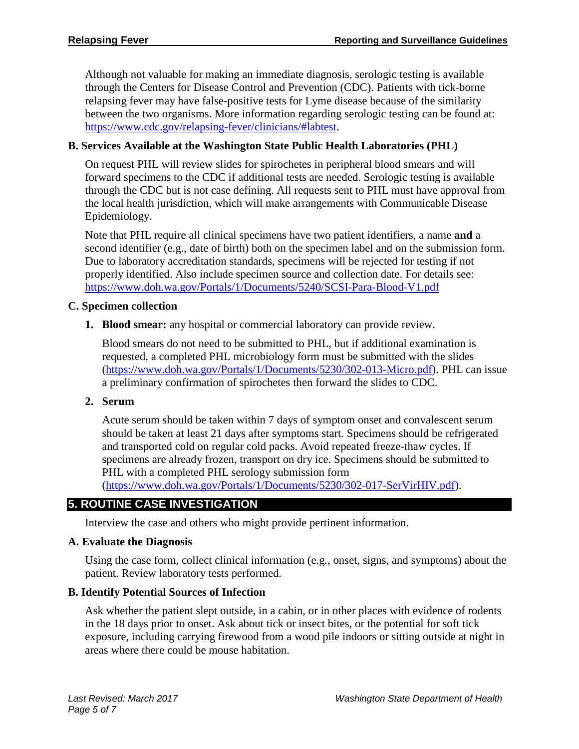Although not valuable for making an immediate diagnosis, serologic testing is available through the Centers for Disease Control and Prevention (CDC). Patients with tick-borne relapsing fever may have false-positive tests for Lyme disease because of the similarity between the two organisms. More information regarding serologic testing can be found at: [https://www.cdc.gov/relapsing-fever/clinicians/#labtest.](https://www.cdc.gov/relapsing-fever/clinicians/#labtest)

### **B. Services Available at the Washington State Public Health Laboratories (PHL)**

On request PHL will review slides for spirochetes in peripheral blood smears and will forward specimens to the CDC if additional tests are needed. Serologic testing is available through the CDC but is not case defining. All requests sent to PHL must have approval from the local health jurisdiction, which will make arrangements with Communicable Disease Epidemiology.

Note that PHL require all clinical specimens have two patient identifiers, a name **and** a second identifier (e.g., date of birth) both on the specimen label and on the submission form. Due to laboratory accreditation standards, specimens will be rejected for testing if not properly identified. Also include specimen source and collection date. For details see: <https://www.doh.wa.gov/Portals/1/Documents/5240/SCSI-Para-Blood-V1.pdf>

#### **C. Specimen collection**

#### **1. Blood smear:** any hospital or commercial laboratory can provide review.

Blood smears do not need to be submitted to PHL, but if additional examination is requested, a completed PHL microbiology form must be submitted with the slides [\(https://www.doh.wa.gov/Portals/1/Documents/5230/302-013-Micro.pdf\)](https://www.doh.wa.gov/Portals/1/Documents/5230/302-013-Micro.pdf). PHL can issue a preliminary confirmation of spirochetes then forward the slides to CDC.

#### **2. Serum**

Acute serum should be taken within 7 days of symptom onset and convalescent serum should be taken at least 21 days after symptoms start. Specimens should be refrigerated and transported cold on regular cold packs. Avoid repeated freeze-thaw cycles. If specimens are already frozen, transport on dry ice. Specimens should be submitted to PHL with a completed PHL serology submission form

[\(https://www.doh.wa.gov/Portals/1/Documents/5230/302-017-SerVirHIV.pdf\)](https://www.doh.wa.gov/Portals/1/Documents/5230/302-017-SerVirHIV.pdf).

# **5. ROUTINE CASE INVESTIGATION**

Interview the case and others who might provide pertinent information.

#### **A. Evaluate the Diagnosis**

Using the case form, collect clinical information (e.g., onset, signs, and symptoms) about the patient. Review laboratory tests performed.

#### **B. Identify Potential Sources of Infection**

Ask whether the patient slept outside, in a cabin, or in other places with evidence of rodents in the 18 days prior to onset. Ask about tick or insect bites, or the potential for soft tick exposure, including carrying firewood from a wood pile indoors or sitting outside at night in areas where there could be mouse habitation.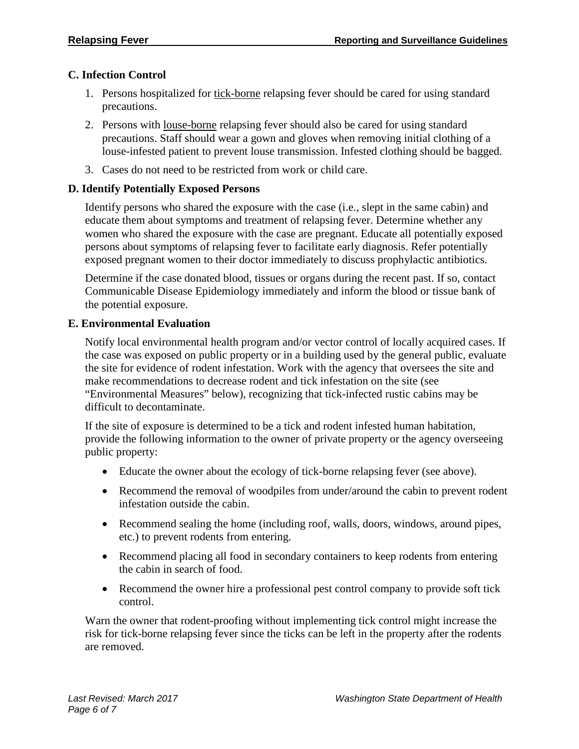# **C. Infection Control**

- 1. Persons hospitalized for tick-borne relapsing fever should be cared for using standard precautions.
- 2. Persons with louse-borne relapsing fever should also be cared for using standard precautions. Staff should wear a gown and gloves when removing initial clothing of a louse-infested patient to prevent louse transmission. Infested clothing should be bagged.
- 3. Cases do not need to be restricted from work or child care.

# **D. Identify Potentially Exposed Persons**

Identify persons who shared the exposure with the case (i.e., slept in the same cabin) and educate them about symptoms and treatment of relapsing fever. Determine whether any women who shared the exposure with the case are pregnant. Educate all potentially exposed persons about symptoms of relapsing fever to facilitate early diagnosis. Refer potentially exposed pregnant women to their doctor immediately to discuss prophylactic antibiotics.

Determine if the case donated blood, tissues or organs during the recent past. If so, contact Communicable Disease Epidemiology immediately and inform the blood or tissue bank of the potential exposure.

# **E. Environmental Evaluation**

Notify local environmental health program and/or vector control of locally acquired cases. If the case was exposed on public property or in a building used by the general public, evaluate the site for evidence of rodent infestation. Work with the agency that oversees the site and make recommendations to decrease rodent and tick infestation on the site (see "Environmental Measures" below), recognizing that tick-infected rustic cabins may be difficult to decontaminate.

If the site of exposure is determined to be a tick and rodent infested human habitation, provide the following information to the owner of private property or the agency overseeing public property:

- Educate the owner about the ecology of tick-borne relapsing fever (see above).
- Recommend the removal of woodpiles from under/around the cabin to prevent rodent infestation outside the cabin.
- Recommend sealing the home (including roof, walls, doors, windows, around pipes, etc.) to prevent rodents from entering.
- Recommend placing all food in secondary containers to keep rodents from entering the cabin in search of food.
- Recommend the owner hire a professional pest control company to provide soft tick control.

Warn the owner that rodent-proofing without implementing tick control might increase the risk for tick-borne relapsing fever since the ticks can be left in the property after the rodents are removed.